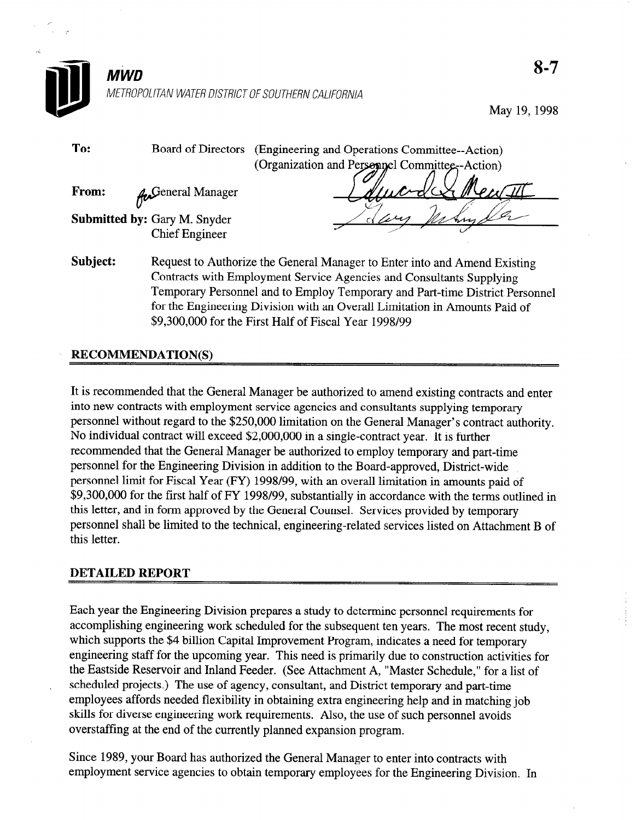

# METROPOLITAN WATER DISTRICT OF SOUTHERN CALIFORNIA

May 19,1998

| (Organization and Personnel Committee-Action)                                         |
|---------------------------------------------------------------------------------------|
|                                                                                       |
| From:<br><b>An</b> General Manager                                                    |
|                                                                                       |
| <b>Submitted by: Gary M. Snyder</b>                                                   |
| <b>Chief Engineer</b>                                                                 |
| Subject:<br>Request to Authorize the General Manager to Enter into and Amend Existing |
| Contracts with Employment Service Agencies and Consultants Supplying                  |
| Temporary Personnel and to Employ Temporary and Part-time District Personnel          |
| for the Engineering Division with an Overall Limitation in Amounts Paid of            |
| \$9,300,000 for the First Half of Fiscal Year 1998/99                                 |

# RECOMMENDATION(S)

It is recommended that the General Manager be authorized to amend existing contracts and enter into new contracts with employment service agencies and consultants supplying temporary personnel without regard to the \$250,000 limitation on the General Manager's contract authority. No individual contract will exceed \$2,000,000 in a single-contract year. It is further recommended that the General Manager be authorized to employ temporary and part-time personnel for the Engineering Division in addition to the Board-approved, District-wide personnel limit for Fiscal Year (FY) 1998/99, with an overall limitation in amounts paid of \$9,300,000 for the first half of FY 1998/99, substantially in accordance with the terms outlined in this letter, and in form approved by the General Counsel. Services provided by temporary personnel shall be limited to the technical, engineering-related services listed on Attachment B of this letter.

## DETAILED REPORT

Each year the Engineering Division prepares a study to determine personnel requirements for accomplishing engineering work scheduled for the subsequent ten years. The most recent study, which supports the \$4 billion Capital Improvement Program, indicates a need for temporary engineering staff for the upcoming year. This need is primarily due to construction activities for the Eastside Reservoir and Inland Feeder. (See Attachment A, "Master Schedule," for a list of scheduled projects.) The use of agency, consultant, and District temporary and part-time employees affords needed flexibility in obtaining extra engineering help and in matching job skills for diverse engineering work requirements. Also, the use of such personnel avoids overstaffing at the end of the currently planned expansion program.

Since 1989, your Board has authorized the General Manager to enter into contracts with employment service agencies to obtain temporary employees for the Engineering Division. In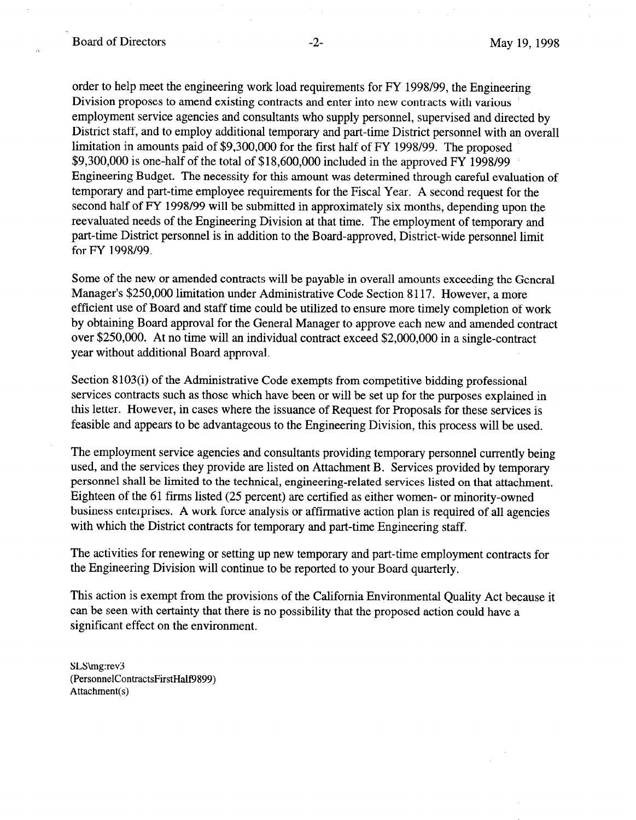order to help meet the engineering work load requirements for FY 1998/99, the Engineering Division proposes to amend existing contracts and enter into new contracts with various employment service agencies and consultants who supply personnel, supervised and directed by District staff, and to employ additional temporary and part-time District personnel with an overall limitation in amounts paid of \$9,300,000 for the first half of FY 1998/99. The proposed \$9,300,000 is one-half of the total of \$18,600,000 included in the approved FY 1998/99 Engineering Budget. The necessity for this amount was determined through careful evaluation of temporary and part-time employee requirements for the Fiscal Year. A second request for the second half of FY 1998/99 will be submitted in approximately six months, depending upon the reevaluated needs of the Engineering Division at that time. The employment of temporary and part-time District personnel is in addition to the Board-approved, District-wide personnel limit for FY 1998/99.

Some of the new or amended contracts will be payable in overall amounts exceeding the General Manager's \$250,000 limitation under Administrative Code Section 8 117. However, a more efficient use of Board and staff time could be utilized to ensure more timely completion of work by obtaining Board approval for the General Manager to approve each new and amended contract over \$250,000. At no time will an individual contract exceed \$2,000,000 in a single-contract year without additional Board approval.

Section 8103(i) of the Administrative Code exempts from competitive bidding professional services contracts such as those which have been or will be set up for the purposes explained in this letter. However, in cases where the issuance of Request for Proposals for these services is feasible and appears to be advantageous to the Engineering Division, this process will be used.

The employment service agencies and consultants providing temporary personnel currently being used, and the services they provide are listed on Attachment B. Services provided by temporary personnel shall be limited to the technical, engineering-related services listed on that attachment. Eighteen of the 61 firms listed (25 percent) are certified as either women- or minority-owned business enterprises. A work force analysis or affirmative action plan is required of all agencies with which the District contracts for temporary and part-time Engineering staff.

The activities for renewing or setting up new temporary and part-time employment contracts for the Engineering Division will continue to be reported to your Board quarterly.

This action is exempt from the provisions of the California Environmental Quality Act because it can be seen with certainty that there is no possibility that the proposed action could have a significant effect on the environment.

SLS\mg:rev3 (PersonnelContractsFirstHalf9899) Attachment(s)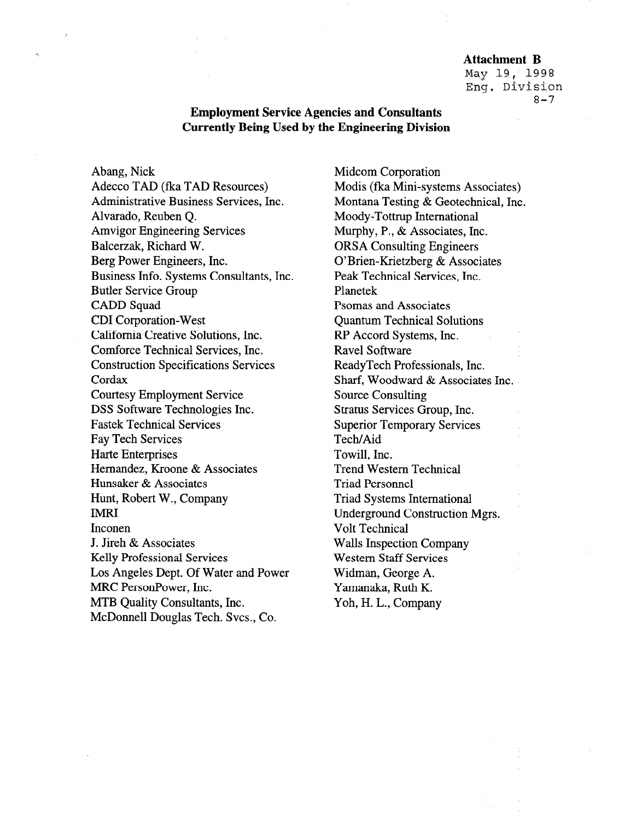#### Attachment B

May 19, 1998 Eng. Division  $8 - 7$ 

# Employment Service Agencies and Consultants Currently Being Used by the Engineering Division

Abang, Nick Adecco TAD (fka TAD Resources) Administrative Business Services, Inc. Alvarado, Reuben Q. Amvigor Engineering Services Balcerzak, Richard W. Berg Power Engineers, Inc. Business Info. Systems Consultants, Inc. Butler Service Group CADD Squad CD1 Corporation-West California Creative Solutions, Inc. Comforce Technical Services, Inc. Construction Specifications Services Cordax Courtesy Employment Service DSS Software Technologies Inc. Fastek Technical Services Fay Tech Services Harte Enterprises Hernandez, Kroone & Associates Hunsaker & Associates Hunt, Robert W., Company **IMRI** Inconen J. Jireh & Associates Kelly Professional Services Los Angeles Dept. Of Water and Power MRC PersonPower, Inc. MTB Quality Consultants, Inc. McDonnell Douglas Tech. Svcs., Co.

Midcom Corporation Modis (fka Mini-systems Associates) Montana Testing & Geotechnical, Inc. Moody-Tottrup International Murphy, P., & Associates, Inc. ORSA Consulting Engineers O'Brien-Krietzberg & Associates Peak Technical Services, Inc. Planetek Psomas and Associates Quantum Technical Solutions RP Accord Systems, Inc. Ravel Software ReadyTech Professionals, Inc. Sharf, Woodward & Associates Inc. Source Consulting Stratus Services Group, Inc. Superior Temporary Services Tech/Aid Towill, Inc. Trend Western Technical Triad Personnel Triad Systems International Underground Construction Mgrs. Volt Technical Walls Inspection Company Western Staff Services Widman, George A. Yamanaka, Ruth K. Yoh, H. L., Company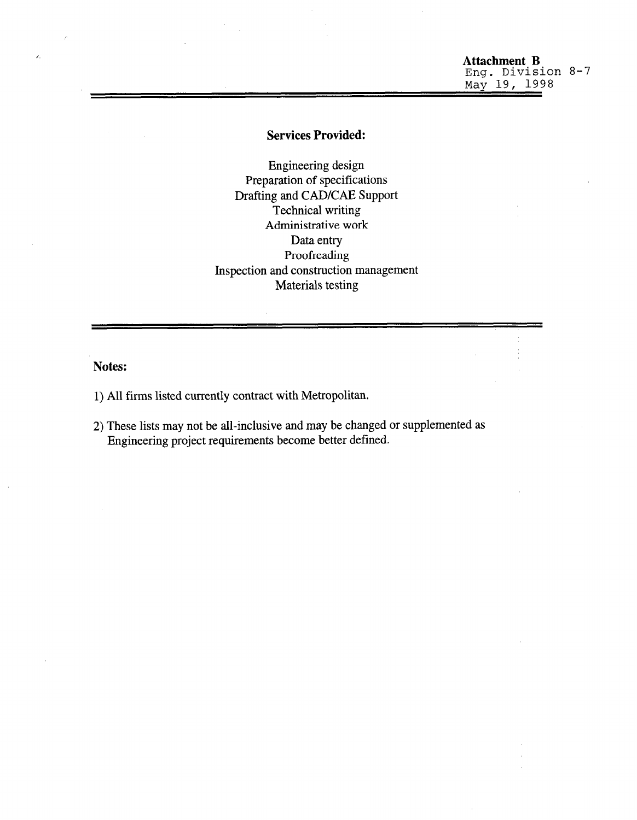## Attachment B Eng. Division 8-7 May 19, 1998

## Services Provided:

Engineering design Preparation of specifications Drafting and CAD/CAE Support Technical writing Administrative work Data entry Proofreading Inspection and construction management Materials testing

Notes:

- 1) All firms listed currently contract with Metropolitan.
- 2) These lists may not be all-inclusive and may be changed or supplemented as These has may not be an-inclusive and may be changed.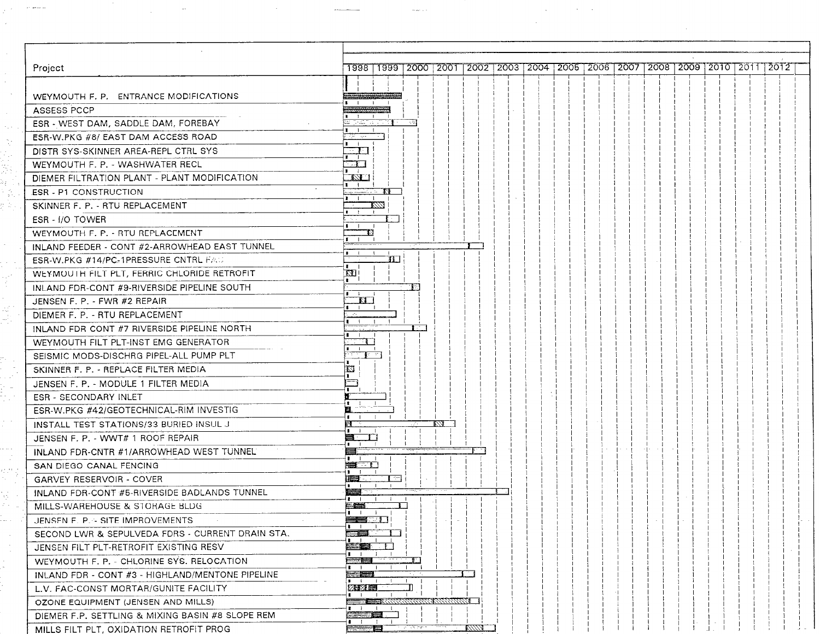| Project<br>$\blacksquare$<br>71 H<br>TI.<br>LVA.<br>. .<br><b>AND STATE</b><br>V/VI<br>13<br>ŦП<br>$\mathbb{E}$<br><b>KI</b><br>. .<br>$\mathbf{I}$<br>∦e vi<br>囜<br>E.<br>va<br>8<br>-1<br><b>睡不住</b><br>$\mathbf{1}$ $\mathbf{1}$ $\overline{\mathbf{1}}$<br>ान<br>a sa sa sala<br><b>GARVEY RESERVOIR - COVER</b><br>$-1$<br>$\sim$ 10<br><b>Property</b><br>$\blacksquare$ $\blacksquare$ $\blacksquare$ $\blacksquare$ $\blacksquare$ $\blacksquare$ $\blacksquare$<br>조소를<br>$1 \quad 1 \quad 1$<br>as u<br>$\blacksquare$<br>an B<br>SECOND LWR & SEPULVEDA FDRS - CURRENT DRAIN STA.<br>$\blacksquare$<br>55 S. P<br>JENSEN FILT PLT-RETROFIT EXISTING RESV<br>$\sim$ 1<br><u>e a partir de la propincia de la propincia de la propincia de la propincia de la propincia de la propincia de</u><br>∸ ¥iri<br><b>Contract Contract Contract</b><br>$\cdots$<br>三年<br>$\cdots$<br>2章 2章 三<br>OZONE EQUIPMENT (JENSEN AND MILLS)<br><u> and the second</u><br>$\mathbf{z}$ iii<br><b>Constitution</b><br>$1 - 1 - 1 - 1$                                                                                                                                                                                                                                                                                                                                                                                             |                                                                                                        |
|---------------------------------------------------------------------------------------------------------------------------------------------------------------------------------------------------------------------------------------------------------------------------------------------------------------------------------------------------------------------------------------------------------------------------------------------------------------------------------------------------------------------------------------------------------------------------------------------------------------------------------------------------------------------------------------------------------------------------------------------------------------------------------------------------------------------------------------------------------------------------------------------------------------------------------------------------------------------------------------------------------------------------------------------------------------------------------------------------------------------------------------------------------------------------------------------------------------------------------------------------------------------------------------------------------------------------------------------------------------------------------------------------------------------------|--------------------------------------------------------------------------------------------------------|
|                                                                                                                                                                                                                                                                                                                                                                                                                                                                                                                                                                                                                                                                                                                                                                                                                                                                                                                                                                                                                                                                                                                                                                                                                                                                                                                                                                                                                           |                                                                                                        |
|                                                                                                                                                                                                                                                                                                                                                                                                                                                                                                                                                                                                                                                                                                                                                                                                                                                                                                                                                                                                                                                                                                                                                                                                                                                                                                                                                                                                                           |                                                                                                        |
| WEYMOUTH F. P. - ENTRANCE MODIFICATIONS<br>ASSESS PCCP<br>ESR - WEST DAM, SADDLE DAM, FOREBAY<br>ESR-W.PKG #8/ EAST DAM ACCESS ROAD<br>DISTR SYS-SKINNER AREA-REPL CTRL SYS<br>WEYMOUTH F. P. - WASHWATER RECL<br>DIEMER FILTRATION PLANT - PLANT MODIFICATION<br><b>ESR - P1 CONSTRUCTION</b><br>SKINNER F. P. - RTU REPLACEMENT<br>ESR - I/O TOWER<br>WEYMOUTH F. P. - RTU REPLACEMENT<br>INLAND FEEDER - CONT #2-ARROWHEAD EAST TUNNEL<br>ESR-W.PKG #14/PC-1PRESSURE CNTRL FAU<br>WEYMOUTH FILT PLT, FERRIC CHLORIDE RETROFIT<br>INLAND FDR-CONT #9-RIVERSIDE PIPELINE SOUTH<br>JENSEN F. P. - FWR #2 REPAIR<br>DIEMER F. P. - RTU REPLACEMENT<br>INLAND FDR-CONT #7-RIVERSIDE PIPELINE NORTH<br>WEYMOUTH FILT PLT-INST EMG GENERATOR<br>SEISMIC MODS-DISCHRG PIPEL-ALL PUMP PLT<br>SKINNER F. P. - REPLACE FILTER MEDIA<br>JENSEN F. P. - MODULE 1 FILTER MEDIA<br><b>ESR - SECONDARY INLET</b><br>ESR-W.PKG #42/GEOTECHNICAL-RIM INVESTIG<br>INSTALL TEST STATIONS/33 BURIED INSUL J<br>JENSEN F. P. - WWT# 1 ROOF REPAIR<br>INLAND FDR-CNTR #1/ARROWHEAD WEST TUNNEL<br>SAN DIEGO CANAL FENCING<br>INLAND FDR-CONT #5-RIVERSIDE BADLANDS TUNNEL<br>MILLS-WAREHOUSE & STORAGE BLDG<br>JENSEN F. P. - SITE IMPROVEMENTS<br>WEYMOUTH F. P. - CHLORINE SYS. RELOCATION<br>INLAND FDR - CONT #3 - HIGHLAND/MENTONE PIPELINE<br>L.V. FAC-CONST MORTAR/GUNITE FACILITY<br>DIEMER F.P. SETTLING & MIXING BASIN #8 SLOPE REM | 1998   1999   2000   2001   2002   2003   2004   2005   2006   2007   2008   2009   2010   2011   2012 |
|                                                                                                                                                                                                                                                                                                                                                                                                                                                                                                                                                                                                                                                                                                                                                                                                                                                                                                                                                                                                                                                                                                                                                                                                                                                                                                                                                                                                                           |                                                                                                        |
|                                                                                                                                                                                                                                                                                                                                                                                                                                                                                                                                                                                                                                                                                                                                                                                                                                                                                                                                                                                                                                                                                                                                                                                                                                                                                                                                                                                                                           |                                                                                                        |
|                                                                                                                                                                                                                                                                                                                                                                                                                                                                                                                                                                                                                                                                                                                                                                                                                                                                                                                                                                                                                                                                                                                                                                                                                                                                                                                                                                                                                           |                                                                                                        |
|                                                                                                                                                                                                                                                                                                                                                                                                                                                                                                                                                                                                                                                                                                                                                                                                                                                                                                                                                                                                                                                                                                                                                                                                                                                                                                                                                                                                                           |                                                                                                        |
|                                                                                                                                                                                                                                                                                                                                                                                                                                                                                                                                                                                                                                                                                                                                                                                                                                                                                                                                                                                                                                                                                                                                                                                                                                                                                                                                                                                                                           |                                                                                                        |
|                                                                                                                                                                                                                                                                                                                                                                                                                                                                                                                                                                                                                                                                                                                                                                                                                                                                                                                                                                                                                                                                                                                                                                                                                                                                                                                                                                                                                           |                                                                                                        |
|                                                                                                                                                                                                                                                                                                                                                                                                                                                                                                                                                                                                                                                                                                                                                                                                                                                                                                                                                                                                                                                                                                                                                                                                                                                                                                                                                                                                                           |                                                                                                        |
|                                                                                                                                                                                                                                                                                                                                                                                                                                                                                                                                                                                                                                                                                                                                                                                                                                                                                                                                                                                                                                                                                                                                                                                                                                                                                                                                                                                                                           |                                                                                                        |
|                                                                                                                                                                                                                                                                                                                                                                                                                                                                                                                                                                                                                                                                                                                                                                                                                                                                                                                                                                                                                                                                                                                                                                                                                                                                                                                                                                                                                           |                                                                                                        |
|                                                                                                                                                                                                                                                                                                                                                                                                                                                                                                                                                                                                                                                                                                                                                                                                                                                                                                                                                                                                                                                                                                                                                                                                                                                                                                                                                                                                                           |                                                                                                        |
|                                                                                                                                                                                                                                                                                                                                                                                                                                                                                                                                                                                                                                                                                                                                                                                                                                                                                                                                                                                                                                                                                                                                                                                                                                                                                                                                                                                                                           |                                                                                                        |
|                                                                                                                                                                                                                                                                                                                                                                                                                                                                                                                                                                                                                                                                                                                                                                                                                                                                                                                                                                                                                                                                                                                                                                                                                                                                                                                                                                                                                           |                                                                                                        |
|                                                                                                                                                                                                                                                                                                                                                                                                                                                                                                                                                                                                                                                                                                                                                                                                                                                                                                                                                                                                                                                                                                                                                                                                                                                                                                                                                                                                                           |                                                                                                        |
|                                                                                                                                                                                                                                                                                                                                                                                                                                                                                                                                                                                                                                                                                                                                                                                                                                                                                                                                                                                                                                                                                                                                                                                                                                                                                                                                                                                                                           |                                                                                                        |
|                                                                                                                                                                                                                                                                                                                                                                                                                                                                                                                                                                                                                                                                                                                                                                                                                                                                                                                                                                                                                                                                                                                                                                                                                                                                                                                                                                                                                           |                                                                                                        |
|                                                                                                                                                                                                                                                                                                                                                                                                                                                                                                                                                                                                                                                                                                                                                                                                                                                                                                                                                                                                                                                                                                                                                                                                                                                                                                                                                                                                                           |                                                                                                        |
|                                                                                                                                                                                                                                                                                                                                                                                                                                                                                                                                                                                                                                                                                                                                                                                                                                                                                                                                                                                                                                                                                                                                                                                                                                                                                                                                                                                                                           |                                                                                                        |
|                                                                                                                                                                                                                                                                                                                                                                                                                                                                                                                                                                                                                                                                                                                                                                                                                                                                                                                                                                                                                                                                                                                                                                                                                                                                                                                                                                                                                           |                                                                                                        |
|                                                                                                                                                                                                                                                                                                                                                                                                                                                                                                                                                                                                                                                                                                                                                                                                                                                                                                                                                                                                                                                                                                                                                                                                                                                                                                                                                                                                                           |                                                                                                        |
|                                                                                                                                                                                                                                                                                                                                                                                                                                                                                                                                                                                                                                                                                                                                                                                                                                                                                                                                                                                                                                                                                                                                                                                                                                                                                                                                                                                                                           |                                                                                                        |
|                                                                                                                                                                                                                                                                                                                                                                                                                                                                                                                                                                                                                                                                                                                                                                                                                                                                                                                                                                                                                                                                                                                                                                                                                                                                                                                                                                                                                           |                                                                                                        |
|                                                                                                                                                                                                                                                                                                                                                                                                                                                                                                                                                                                                                                                                                                                                                                                                                                                                                                                                                                                                                                                                                                                                                                                                                                                                                                                                                                                                                           |                                                                                                        |
|                                                                                                                                                                                                                                                                                                                                                                                                                                                                                                                                                                                                                                                                                                                                                                                                                                                                                                                                                                                                                                                                                                                                                                                                                                                                                                                                                                                                                           |                                                                                                        |
|                                                                                                                                                                                                                                                                                                                                                                                                                                                                                                                                                                                                                                                                                                                                                                                                                                                                                                                                                                                                                                                                                                                                                                                                                                                                                                                                                                                                                           |                                                                                                        |
|                                                                                                                                                                                                                                                                                                                                                                                                                                                                                                                                                                                                                                                                                                                                                                                                                                                                                                                                                                                                                                                                                                                                                                                                                                                                                                                                                                                                                           |                                                                                                        |
|                                                                                                                                                                                                                                                                                                                                                                                                                                                                                                                                                                                                                                                                                                                                                                                                                                                                                                                                                                                                                                                                                                                                                                                                                                                                                                                                                                                                                           |                                                                                                        |
|                                                                                                                                                                                                                                                                                                                                                                                                                                                                                                                                                                                                                                                                                                                                                                                                                                                                                                                                                                                                                                                                                                                                                                                                                                                                                                                                                                                                                           |                                                                                                        |
|                                                                                                                                                                                                                                                                                                                                                                                                                                                                                                                                                                                                                                                                                                                                                                                                                                                                                                                                                                                                                                                                                                                                                                                                                                                                                                                                                                                                                           |                                                                                                        |
|                                                                                                                                                                                                                                                                                                                                                                                                                                                                                                                                                                                                                                                                                                                                                                                                                                                                                                                                                                                                                                                                                                                                                                                                                                                                                                                                                                                                                           |                                                                                                        |
|                                                                                                                                                                                                                                                                                                                                                                                                                                                                                                                                                                                                                                                                                                                                                                                                                                                                                                                                                                                                                                                                                                                                                                                                                                                                                                                                                                                                                           |                                                                                                        |
|                                                                                                                                                                                                                                                                                                                                                                                                                                                                                                                                                                                                                                                                                                                                                                                                                                                                                                                                                                                                                                                                                                                                                                                                                                                                                                                                                                                                                           |                                                                                                        |
|                                                                                                                                                                                                                                                                                                                                                                                                                                                                                                                                                                                                                                                                                                                                                                                                                                                                                                                                                                                                                                                                                                                                                                                                                                                                                                                                                                                                                           |                                                                                                        |
|                                                                                                                                                                                                                                                                                                                                                                                                                                                                                                                                                                                                                                                                                                                                                                                                                                                                                                                                                                                                                                                                                                                                                                                                                                                                                                                                                                                                                           |                                                                                                        |
|                                                                                                                                                                                                                                                                                                                                                                                                                                                                                                                                                                                                                                                                                                                                                                                                                                                                                                                                                                                                                                                                                                                                                                                                                                                                                                                                                                                                                           |                                                                                                        |
|                                                                                                                                                                                                                                                                                                                                                                                                                                                                                                                                                                                                                                                                                                                                                                                                                                                                                                                                                                                                                                                                                                                                                                                                                                                                                                                                                                                                                           |                                                                                                        |
|                                                                                                                                                                                                                                                                                                                                                                                                                                                                                                                                                                                                                                                                                                                                                                                                                                                                                                                                                                                                                                                                                                                                                                                                                                                                                                                                                                                                                           |                                                                                                        |
|                                                                                                                                                                                                                                                                                                                                                                                                                                                                                                                                                                                                                                                                                                                                                                                                                                                                                                                                                                                                                                                                                                                                                                                                                                                                                                                                                                                                                           |                                                                                                        |
|                                                                                                                                                                                                                                                                                                                                                                                                                                                                                                                                                                                                                                                                                                                                                                                                                                                                                                                                                                                                                                                                                                                                                                                                                                                                                                                                                                                                                           |                                                                                                        |
|                                                                                                                                                                                                                                                                                                                                                                                                                                                                                                                                                                                                                                                                                                                                                                                                                                                                                                                                                                                                                                                                                                                                                                                                                                                                                                                                                                                                                           |                                                                                                        |
|                                                                                                                                                                                                                                                                                                                                                                                                                                                                                                                                                                                                                                                                                                                                                                                                                                                                                                                                                                                                                                                                                                                                                                                                                                                                                                                                                                                                                           |                                                                                                        |
| <u> 1873 - 19</u><br>MILLS FILT PLT, OXIDATION RETROFIT PROG<br><b>Contract</b>                                                                                                                                                                                                                                                                                                                                                                                                                                                                                                                                                                                                                                                                                                                                                                                                                                                                                                                                                                                                                                                                                                                                                                                                                                                                                                                                           | <b>Representation of the Contract Contract Contract</b>                                                |